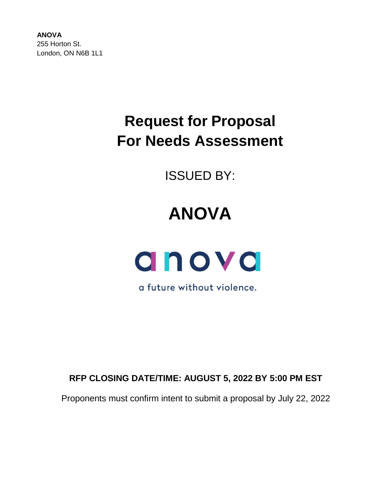**ANOVA** 255 Horton St. London, ON N6B 1L1

# **Request for Proposal For Needs Assessment**

ISSUED BY:

# **ANOVA**



a future without violence.

**RFP CLOSING DATE/TIME: AUGUST 5, 2022 BY 5:00 PM EST**

Proponents must confirm intent to submit a proposal by July 22, 2022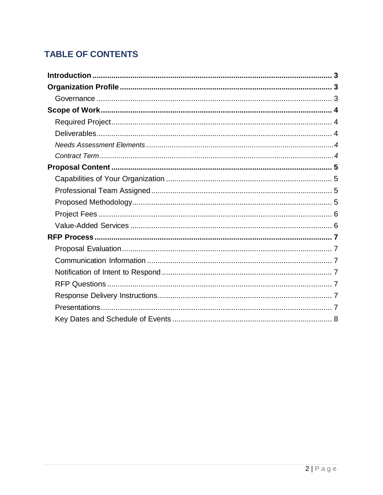# **TABLE OF CONTENTS**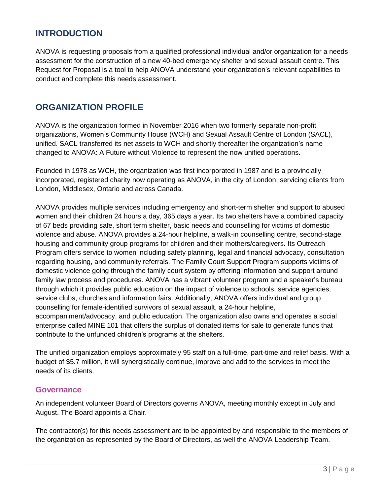## <span id="page-2-0"></span>**INTRODUCTION**

ANOVA is requesting proposals from a qualified professional individual and/or organization for a needs assessment for the construction of a new 40-bed emergency shelter and sexual assault centre. This Request for Proposal is a tool to help ANOVA understand your organization's relevant capabilities to conduct and complete this needs assessment.

## <span id="page-2-1"></span>**ORGANIZATION PROFILE**

ANOVA is the organization formed in November 2016 when two formerly separate non-profit organizations, Women's Community House (WCH) and Sexual Assault Centre of London (SACL), unified. SACL transferred its net assets to WCH and shortly thereafter the organization's name changed to ANOVA: A Future without Violence to represent the now unified operations.

Founded in 1978 as WCH, the organization was first incorporated in 1987 and is a provincially incorporated, registered charity now operating as ANOVA, in the city of London, servicing clients from London, Middlesex, Ontario and across Canada.

ANOVA provides multiple services including emergency and short-term shelter and support to abused women and their children 24 hours a day, 365 days a year. Its two shelters have a combined capacity of 67 beds providing safe, short term shelter, basic needs and counselling for victims of domestic violence and abuse. ANOVA provides a 24-hour helpline, a walk-in counselling centre, second-stage housing and community group programs for children and their mothers/caregivers. Its Outreach Program offers service to women including safety planning, legal and financial advocacy, consultation regarding housing, and community referrals. The Family Court Support Program supports victims of domestic violence going through the family court system by offering information and support around family law process and procedures. ANOVA has a vibrant volunteer program and a speaker's bureau through which it provides public education on the impact of violence to schools, service agencies, service clubs, churches and information fairs. Additionally, ANOVA offers individual and group counselling for female-identified survivors of sexual assault, a 24-hour helpline, accompaniment/advocacy, and public education. The organization also owns and operates a social enterprise called MINE 101 that offers the surplus of donated items for sale to generate funds that contribute to the unfunded children's programs at the shelters.

The unified organization employs approximately 95 staff on a full-time, part-time and relief basis. With a budget of \$5.7 million, it will synergistically continue, improve and add to the services to meet the needs of its clients.

#### <span id="page-2-2"></span>**Governance**

An independent volunteer Board of Directors governs ANOVA, meeting monthly except in July and August. The Board appoints a Chair.

The contractor(s) for this needs assessment are to be appointed by and responsible to the members of the organization as represented by the Board of Directors, as well the ANOVA Leadership Team.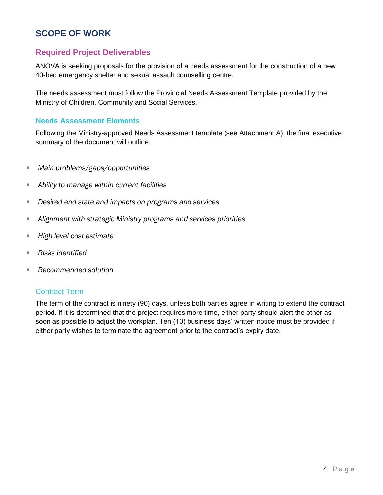## <span id="page-3-0"></span>**SCOPE OF WORK**

### <span id="page-3-2"></span><span id="page-3-1"></span>**Required Project Deliverables**

ANOVA is seeking proposals for the provision of a needs assessment for the construction of a new 40-bed emergency shelter and sexual assault counselling centre.

The needs assessment must follow the Provincial Needs Assessment Template provided by the Ministry of Children, Community and Social Services.

#### <span id="page-3-3"></span>**Needs Assessment Elements**

Following the Ministry-approved Needs Assessment template (see Attachment A), the final executive summary of the document will outline:

- *Main problems/gaps/opportunities*
- Ability to manage within current facilities
- *Desired end state and impacts on programs and services*
- *Alignment with strategic Ministry programs and services priorities*
- *High level cost estimate*
- Risks identified
- **Recommended solution**

#### <span id="page-3-4"></span>Contract Term

The term of the contract is ninety (90) days, unless both parties agree in writing to extend the contract period. If it is determined that the project requires more time, either party should alert the other as soon as possible to adjust the workplan. Ten (10) business days' written notice must be provided if either party wishes to terminate the agreement prior to the contract's expiry date.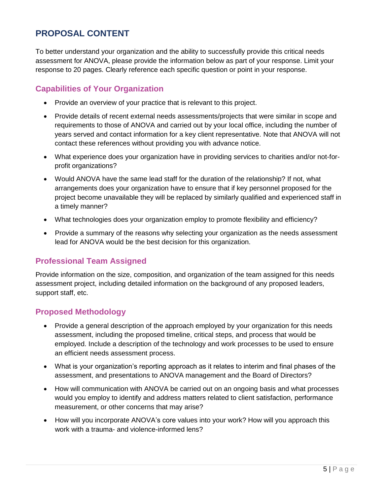# <span id="page-4-0"></span>**PROPOSAL CONTENT**

To better understand your organization and the ability to successfully provide this critical needs assessment for ANOVA, please provide the information below as part of your response. Limit your response to 20 pages. Clearly reference each specific question or point in your response.

## <span id="page-4-1"></span>**Capabilities of Your Organization**

- Provide an overview of your practice that is relevant to this project.
- Provide details of recent external needs assessments/projects that were similar in scope and requirements to those of ANOVA and carried out by your local office, including the number of years served and contact information for a key client representative. Note that ANOVA will not contact these references without providing you with advance notice.
- What experience does your organization have in providing services to charities and/or not-forprofit organizations?
- Would ANOVA have the same lead staff for the duration of the relationship? If not, what arrangements does your organization have to ensure that if key personnel proposed for the project become unavailable they will be replaced by similarly qualified and experienced staff in a timely manner?
- What technologies does your organization employ to promote flexibility and efficiency?
- Provide a summary of the reasons why selecting your organization as the needs assessment lead for ANOVA would be the best decision for this organization.

### <span id="page-4-2"></span>**Professional Team Assigned**

Provide information on the size, composition, and organization of the team assigned for this needs assessment project, including detailed information on the background of any proposed leaders, support staff, etc.

## <span id="page-4-3"></span>**Proposed Methodology**

- Provide a general description of the approach employed by your organization for this needs assessment, including the proposed timeline, critical steps, and process that would be employed. Include a description of the technology and work processes to be used to ensure an efficient needs assessment process.
- What is your organization's reporting approach as it relates to interim and final phases of the assessment, and presentations to ANOVA management and the Board of Directors?
- How will communication with ANOVA be carried out on an ongoing basis and what processes would you employ to identify and address matters related to client satisfaction, performance measurement, or other concerns that may arise?
- How will you incorporate ANOVA's core values into your work? How will you approach this work with a trauma- and violence-informed lens?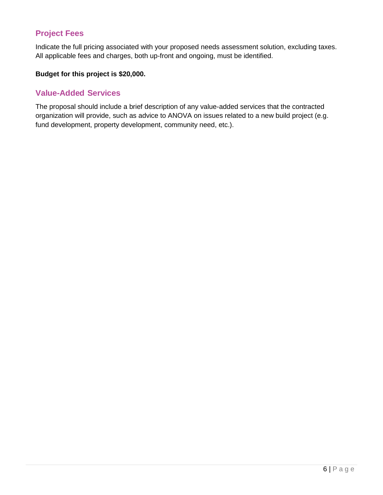## <span id="page-5-0"></span>**Project Fees**

Indicate the full pricing associated with your proposed needs assessment solution, excluding taxes. All applicable fees and charges, both up-front and ongoing, must be identified.

### **Budget for this project is \$20,000.**

### <span id="page-5-1"></span>**Value-Added Services**

The proposal should include a brief description of any value-added services that the contracted organization will provide, such as advice to ANOVA on issues related to a new build project (e.g. fund development, property development, community need, etc.).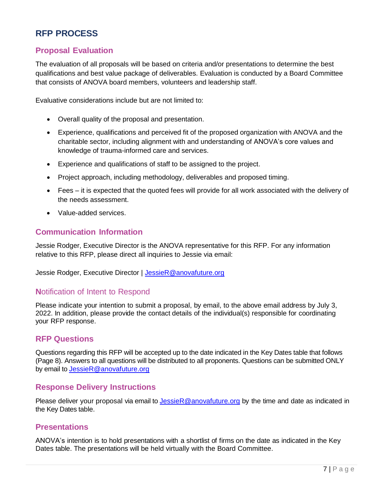# <span id="page-6-0"></span>**RFP PROCESS**

## <span id="page-6-1"></span>**Proposal Evaluation**

The evaluation of all proposals will be based on criteria and/or presentations to determine the best qualifications and best value package of deliverables. Evaluation is conducted by a Board Committee that consists of ANOVA board members, volunteers and leadership staff.

Evaluative considerations include but are not limited to:

- Overall quality of the proposal and presentation.
- Experience, qualifications and perceived fit of the proposed organization with ANOVA and the charitable sector, including alignment with and understanding of ANOVA's core values and knowledge of trauma-informed care and services.
- Experience and qualifications of staff to be assigned to the project.
- Project approach, including methodology, deliverables and proposed timing.
- Fees it is expected that the quoted fees will provide for all work associated with the delivery of the needs assessment.
- Value-added services.

#### <span id="page-6-2"></span>**Communication Information**

Jessie Rodger, Executive Director is the ANOVA representative for this RFP. For any information relative to this RFP, please direct all inquiries to Jessie via email:

Jessie Rodger, Executive Director | [JessieR@anovafuture.org](mailto:JessieR@anovafuture.org)

#### <span id="page-6-3"></span>**N**otification of Intent to Respond

Please indicate your intention to submit a proposal, by email, to the above email address by July 3, 2022. In addition, please provide the contact details of the individual(s) responsible for coordinating your RFP response.

#### <span id="page-6-4"></span>**RFP Questions**

Questions regarding this RFP will be accepted up to the date indicated in the Key Dates table that follows (Page 8). Answers to all questions will be distributed to all proponents. Questions can be submitted ONLY by email to [JessieR@anovafuture.org](mailto:JessieR@anovafuture.org)

#### <span id="page-6-5"></span>**Response Delivery Instructions**

Please deliver your proposal via email to [JessieR@anovafuture.org](mailto:JessieR@anovafuture.org) by the time and date as indicated in the Key Dates table.

#### <span id="page-6-6"></span>**Presentations**

ANOVA's intention is to hold presentations with a shortlist of firms on the date as indicated in the Key Dates table. The presentations will be held virtually with the Board Committee.